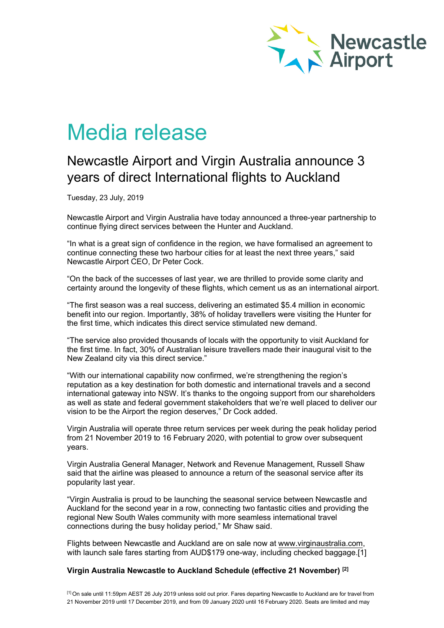

# Media release

## Newcastle Airport and Virgin Australia announce 3 years of direct International flights to Auckland

Tuesday, 23 July, 2019

Newcastle Airport and Virgin Australia have today announced a three-year partnership to continue flying direct services between the Hunter and Auckland.

"In what is a great sign of confidence in the region, we have formalised an agreement to continue connecting these two harbour cities for at least the next three years," said Newcastle Airport CEO, Dr Peter Cock.

"On the back of the successes of last year, we are thrilled to provide some clarity and certainty around the longevity of these flights, which cement us as an international airport.

"The first season was a real success, delivering an estimated \$5.4 million in economic benefit into our region. Importantly, 38% of holiday travellers were visiting the Hunter for the first time, which indicates this direct service stimulated new demand.

"The service also provided thousands of locals with the opportunity to visit Auckland for the first time. In fact, 30% of Australian leisure travellers made their inaugural visit to the New Zealand city via this direct service."

"With our international capability now confirmed, we're strengthening the region's reputation as a key destination for both domestic and international travels and a second international gateway into NSW. It's thanks to the ongoing support from our shareholders as well as state and federal government stakeholders that we're well placed to deliver our vision to be the Airport the region deserves," Dr Cock added.

Virgin Australia will operate three return services per week during the peak holiday period from 21 November 2019 to 16 February 2020, with potential to grow over subsequent years.

Virgin Australia General Manager, Network and Revenue Management, Russell Shaw said that the airline was pleased to announce a return of the seasonal service after its popularity last year.

"Virgin Australia is proud to be launching the seasonal service between Newcastle and Auckland for the second year in a row, connecting two fantastic cities and providing the regional New South Wales community with more seamless international travel connections during the busy holiday period," Mr Shaw said.

Flights between Newcastle and Auckland are on sale now at [www.virginaustralia.com,](https://www.virginaustralia.com/au/en/) with launch sale fares starting from AUD\$179 one-way, including checked baggage.[1]

#### **Virgin Australia Newcastle to Auckland Schedule (effective 21 November) [2]**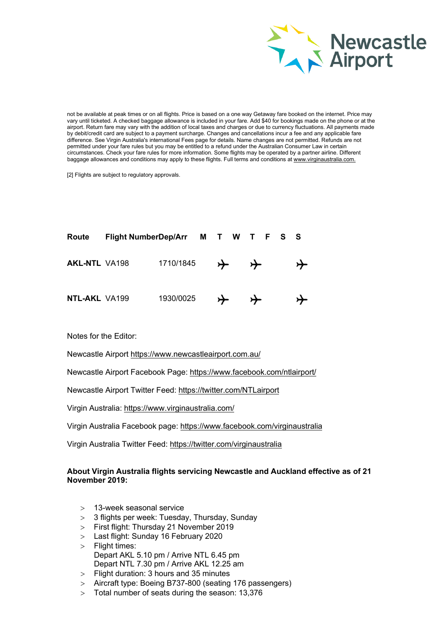

not be available at peak times or on all flights. Price is based on a one way Getaway fare booked on the internet. Price may vary until ticketed. A checked baggage allowance is included in your fare. Add \$40 for bookings made on the phone or at the airport. Return fare may vary with the addition of local taxes and charges or due to currency fluctuations. All payments made by debit/credit card are subject to a payment surcharge. Changes and cancellations incur a fee and any applicable fare difference. See Virgin Australia's international Fees page for details. Name changes are not permitted. Refunds are not permitted under your fare rules but you may be entitled to a refund under the Australian Consumer Law in certain circumstances. Check your fare rules for more information. Some flights may be operated by a partner airline. Different baggage allowances and conditions may apply to these flights. Full terms and conditions at [www.virginaustralia.com.](http://icm-tracking.meltwater.com/link.php?DynEngagement=true&H=qJ9juQrYQnz1cqUgIm8psgUQ75z%2Bv%2FUt%2BmzLgDhho6nnEEJMrQdYl0KWxrNEzIk3n8iiZTJ1gCBf7Q3XjRL5QXev31hbEPjLhDuc44X%2FBNYtIjlBL6XINsGLxxHKQA8O0reLMcKN3nQ%3D&G=0&R=www.virginaustralia.com.&I=20190723015818.0000057ab758%40mail6-42-usnbn1&X=MHwxMDQ2NzU4OjVkMzY0NjhmODE2NmRhY2YxZmU5OGFhYzs%3D&S=TX1Kb1kFQ71JXaOD9T4iAsd7BvW4BoFSCoD0Ch1mAko)

[2] Flights are subject to regulatory approvals.

| Route                | Flight NumberDep/Arr M T W T F S S |           |   |   |  |  |
|----------------------|------------------------------------|-----------|---|---|--|--|
| <b>AKL-NTL VA198</b> |                                    | 1710/1845 | ⊁ | ⊁ |  |  |
| <b>NTL-AKL VA199</b> |                                    | 1930/0025 | ≻ |   |  |  |

Notes for the Editor:

Newcastle Airport [https://www.newcastleairport.com.au/](http://icm-tracking.meltwater.com/link.php?DynEngagement=true&H=qJ9juQrYQnz1cqUgIm8psgUQ75z%2Bv%2FUt%2BmzLgDhho6nnEEJMrQdYl0KWxrNEzIk3n8iiZTJ1gCBf7Q3XjRL5QXev31hbEPjLhDuc44X%2FBNYtIjlBL6XINsGLxxHKQA8O0reLMcKN3nQ%3D&G=0&R=https%3A%2F%2Fwww.newcastleairport.com.au%2F&I=20190723015818.0000057ab758%40mail6-42-usnbn1&X=MHwxMDQ2NzU4OjVkMzY0NjhmODE2NmRhY2YxZmU5OGFhYzs%3D&S=Fg_hI62xIluxH8rVhVbD0MrGB3PI3iC1oZ_k4VrJEeM)

Newcastle Airport Facebook Page: [https://www.facebook.com/ntlairport/](http://icm-tracking.meltwater.com/link.php?DynEngagement=true&H=qJ9juQrYQnz1cqUgIm8psgUQ75z%2Bv%2FUt%2BmzLgDhho6nnEEJMrQdYl0KWxrNEzIk3n8iiZTJ1gCBf7Q3XjRL5QXev31hbEPjLhDuc44X%2FBNYtIjlBL6XINsGLxxHKQA8O0reLMcKN3nQ%3D&G=0&R=https%3A%2F%2Fwww.facebook.com%2Fntlairport%2F&I=20190723015818.0000057ab758%40mail6-42-usnbn1&X=MHwxMDQ2NzU4OjVkMzY0NjhmODE2NmRhY2YxZmU5OGFhYzs%3D&S=hS2TfpLeJzp622KF4CgrZrSdHtJZn-bm4HE79T5C6JE)

Newcastle Airport Twitter Feed: [https://twitter.com/NTLairport](http://icm-tracking.meltwater.com/link.php?DynEngagement=true&H=qJ9juQrYQnz1cqUgIm8psgUQ75z%2Bv%2FUt%2BmzLgDhho6nnEEJMrQdYl0KWxrNEzIk3n8iiZTJ1gCBf7Q3XjRL5QXev31hbEPjLhDuc44X%2FBNYtIjlBL6XINsGLxxHKQA8O0reLMcKN3nQ%3D&G=0&R=https%3A%2F%2Ftwitter.com%2FNTLairport&I=20190723015818.0000057ab758%40mail6-42-usnbn1&X=MHwxMDQ2NzU4OjVkMzY0NjhmODE2NmRhY2YxZmU5OGFhYzs%3D&S=2GY7qGYgGl0lTmFI8x_WshexEAa_3nyMznwDDYa0eUo)

Virgin Australia: [https://www.virginaustralia.com/](http://icm-tracking.meltwater.com/link.php?DynEngagement=true&H=qJ9juQrYQnz1cqUgIm8psgUQ75z%2Bv%2FUt%2BmzLgDhho6nnEEJMrQdYl0KWxrNEzIk3n8iiZTJ1gCBf7Q3XjRL5QXev31hbEPjLhDuc44X%2FBNYtIjlBL6XINsGLxxHKQA8O0reLMcKN3nQ%3D&G=0&R=https%3A%2F%2Fwww.virginaustralia.com%2F&I=20190723015818.0000057ab758%40mail6-42-usnbn1&X=MHwxMDQ2NzU4OjVkMzY0NjhmODE2NmRhY2YxZmU5OGFhYzs%3D&S=KqOXjwypebZFbX933WaJ2Wafxtz0KAZ1ozaStQ2osnw)

Virgin Australia Facebook page: [https://www.facebook.com/virginaustralia](http://icm-tracking.meltwater.com/link.php?DynEngagement=true&H=qJ9juQrYQnz1cqUgIm8psgUQ75z%2Bv%2FUt%2BmzLgDhho6nnEEJMrQdYl0KWxrNEzIk3n8iiZTJ1gCBf7Q3XjRL5QXev31hbEPjLhDuc44X%2FBNYtIjlBL6XINsGLxxHKQA8O0reLMcKN3nQ%3D&G=0&R=https%3A%2F%2Fwww.facebook.com%2Fvirginaustralia&I=20190723015818.0000057ab758%40mail6-42-usnbn1&X=MHwxMDQ2NzU4OjVkMzY0NjhmODE2NmRhY2YxZmU5OGFhYzs%3D&S=OY7yAYIkpfPRcC1VkoftYSWIhPlFCIVk0PGPentAdec)

Virgin Australia Twitter Feed: [https://twitter.com/virginaustralia](http://icm-tracking.meltwater.com/link.php?DynEngagement=true&H=qJ9juQrYQnz1cqUgIm8psgUQ75z%2Bv%2FUt%2BmzLgDhho6nnEEJMrQdYl0KWxrNEzIk3n8iiZTJ1gCBf7Q3XjRL5QXev31hbEPjLhDuc44X%2FBNYtIjlBL6XINsGLxxHKQA8O0reLMcKN3nQ%3D&G=0&R=https%3A%2F%2Ftwitter.com%2Fvirginaustralia&I=20190723015818.0000057ab758%40mail6-42-usnbn1&X=MHwxMDQ2NzU4OjVkMzY0NjhmODE2NmRhY2YxZmU5OGFhYzs%3D&S=u40tRin_bg_oA3TjprvxC8R2LdQcEbD74eJpfeHSXJQ)

### **About Virgin Australia flights servicing Newcastle and Auckland effective as of 21 November 2019:**

- > 13-week seasonal service
- > 3 flights per week: Tuesday, Thursday, Sunday
- > First flight: Thursday 21 November 2019
- > Last flight: Sunday 16 February 2020
- > Flight times: Depart AKL 5.10 pm / Arrive NTL 6.45 pm Depart NTL 7.30 pm / Arrive AKL 12.25 am
- > Flight duration: 3 hours and 35 minutes
- > Aircraft type: Boeing B737-800 (seating 176 passengers)
- > Total number of seats during the season: 13,376